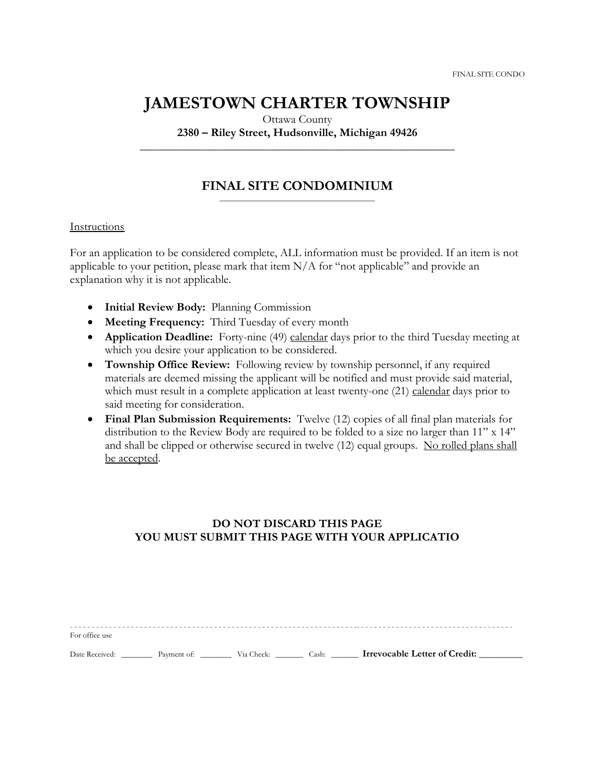## **JAMESTOWN CHARTER TOWNSHIP**

Ottawa County

**2380 – Riley Street, Hudsonville, Michigan 49426 \_\_\_\_\_\_\_\_\_\_\_\_\_\_\_\_\_\_\_\_\_\_\_\_\_\_\_\_\_\_\_\_\_\_\_\_\_\_\_\_\_\_\_\_\_\_\_\_\_\_\_\_\_\_**

#### **FINAL SITE CONDOMINIUM** \_\_\_\_\_\_\_\_\_\_\_\_\_\_\_\_\_\_\_\_\_\_\_\_\_\_\_\_\_\_\_\_\_\_\_\_\_\_\_\_

#### Instructions

For an application to be considered complete, ALL information must be provided. If an item is not applicable to your petition, please mark that item N/A for "not applicable" and provide an explanation why it is not applicable.

- **Initial Review Body:** Planning Commission
- **Meeting Frequency:** Third Tuesday of every month
- **Application Deadline:** Forty-nine (49) calendar days prior to the third Tuesday meeting at which you desire your application to be considered.
- **Township Office Review:** Following review by township personnel, if any required materials are deemed missing the applicant will be notified and must provide said material, which must result in a complete application at least twenty-one (21) calendar days prior to said meeting for consideration.
- **Final Plan Submission Requirements:** Twelve (12) copies of all final plan materials for distribution to the Review Body are required to be folded to a size no larger than 11" x 14" and shall be clipped or otherwise secured in twelve (12) equal groups. No rolled plans shall be accepted.

## **DO NOT DISCARD THIS PAGE YOU MUST SUBMIT THIS PAGE WITH YOUR APPLICATIO**

- - - - - - - - - - - - - - - - - - - - - - - - - - - - - - - - - - - - - - - - - - - - - - - - - - - - - - - - - - - - - - - - - -- - - - - - - - - - - - - - - - - - - - - - - - - - - - - - - - - - - - For office use

Date Received: <u>\_\_\_\_\_\_</u> Payment of: \_\_\_\_\_\_\_\_ Via Check: \_\_\_\_\_\_\_ Cash: \_\_\_\_\_\_ **Irrevocable Letter of Credit:** \_\_\_\_\_\_\_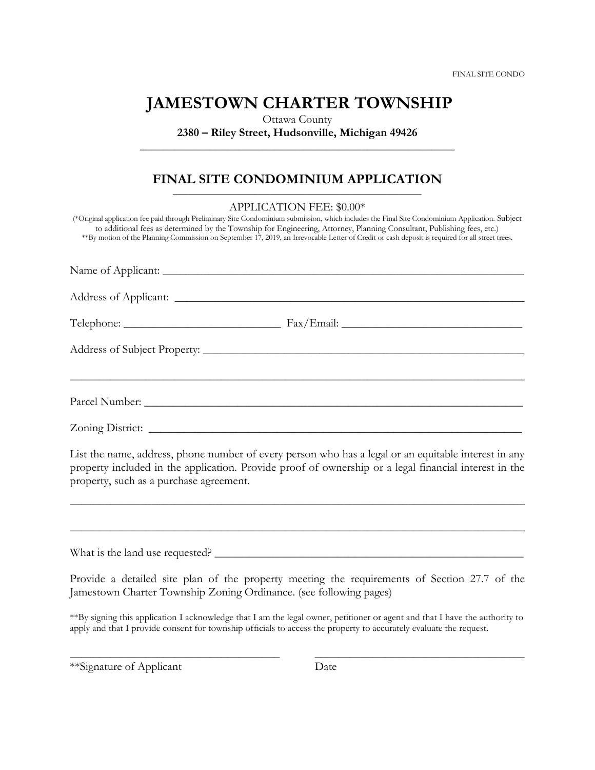# **JAMESTOWN CHARTER TOWNSHIP**

Ottawa County **2380 – Riley Street, Hudsonville, Michigan 49426 \_\_\_\_\_\_\_\_\_\_\_\_\_\_\_\_\_\_\_\_\_\_\_\_\_\_\_\_\_\_\_\_\_\_\_\_\_\_\_\_\_\_\_\_\_\_\_\_\_\_\_\_\_\_**

### **FINAL SITE CONDOMINIUM APPLICATION** \_\_\_\_\_\_\_\_\_\_\_\_\_\_\_\_\_\_\_\_\_\_\_\_\_\_\_\_\_\_\_\_\_\_\_\_\_\_\_\_\_\_\_\_\_\_\_\_\_\_\_\_\_\_\_\_\_\_\_\_\_\_\_\_

| APPLICATION FEE: \$0.00*<br>(*Original application fee paid through Preliminary Site Condominium submission, which includes the Final Site Condominium Application. Subject<br>to additional fees as determined by the Township for Engineering, Attorney, Planning Consultant, Publishing fees, etc.)<br>**By motion of the Planning Commission on September 17, 2019, an Irrevocable Letter of Credit or cash deposit is required for all street trees. |
|-----------------------------------------------------------------------------------------------------------------------------------------------------------------------------------------------------------------------------------------------------------------------------------------------------------------------------------------------------------------------------------------------------------------------------------------------------------|
|                                                                                                                                                                                                                                                                                                                                                                                                                                                           |
|                                                                                                                                                                                                                                                                                                                                                                                                                                                           |
|                                                                                                                                                                                                                                                                                                                                                                                                                                                           |
|                                                                                                                                                                                                                                                                                                                                                                                                                                                           |
|                                                                                                                                                                                                                                                                                                                                                                                                                                                           |
|                                                                                                                                                                                                                                                                                                                                                                                                                                                           |
| List the name, address, phone number of every person who has a legal or an equitable interest in any<br>property included in the application. Provide proof of ownership or a legal financial interest in the<br>property, such as a purchase agreement.                                                                                                                                                                                                  |
| <u> 1989 - Johann John Stoff, deutscher Stoff, der Stoff, der Stoff, der Stoff, der Stoff, der Stoff, der Stoff, d</u>                                                                                                                                                                                                                                                                                                                                    |
|                                                                                                                                                                                                                                                                                                                                                                                                                                                           |
| Provide a detailed site plan of the property meeting the requirements of Section 27.7 of the<br>Jamestown Charter Township Zoning Ordinance. (see following pages)                                                                                                                                                                                                                                                                                        |

\*\*By signing this application I acknowledge that I am the legal owner, petitioner or agent and that I have the authority to apply and that I provide consent for township officials to access the property to accurately evaluate the request.

\_\_\_\_\_\_\_\_\_\_\_\_\_\_\_\_\_\_\_\_\_\_\_\_\_\_\_\_\_\_\_\_\_\_\_\_ \_\_\_\_\_\_\_\_\_\_\_\_\_\_\_\_\_\_\_\_\_\_\_\_\_\_\_\_\_\_\_\_\_\_\_\_

\*\*Signature of Applicant Date